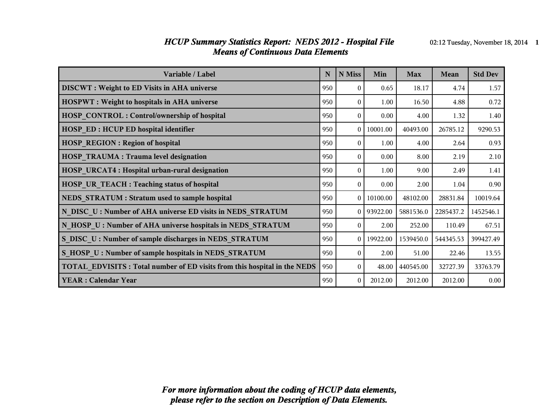#### *HCUP Summary Statistics Report: NEDS 2012 - Hospital File* 02:12 Tuesday, November 18, 2014 1 *Means of Continuous Data Elements*

| Variable / Label                                                                | N   | N Miss         | Min          | <b>Max</b> | Mean      | <b>Std Dev</b> |
|---------------------------------------------------------------------------------|-----|----------------|--------------|------------|-----------|----------------|
| <b>DISCWT</b> : Weight to ED Visits in AHA universe                             | 950 | $\theta$       | 0.65         | 18.17      | 4.74      | 1.57           |
| <b>HOSPWT</b> : Weight to hospitals in AHA universe                             | 950 | $\theta$       | 1.00         | 16.50      | 4.88      | 0.72           |
| <b>HOSP CONTROL: Control/ownership of hospital</b>                              | 950 | $\theta$       | 0.00         | 4.00       | 1.32      | 1.40           |
| <b>HOSP ED: HCUP ED hospital identifier</b>                                     | 950 | $\theta$       | 10001.00     | 40493.00   | 26785.12  | 9290.53        |
| <b>HOSP REGION: Region of hospital</b>                                          | 950 | $\theta$       | 1.00         | 4.00       | 2.64      | 0.93           |
| <b>HOSP TRAUMA: Trauma level designation</b>                                    | 950 | $\theta$       | 0.00         | 8.00       | 2.19      | 2.10           |
| <b>HOSP URCAT4: Hospital urban-rural designation</b>                            | 950 | $\theta$       | 1.00         | 9.00       | 2.49      | 1.41           |
| HOSP UR TEACH : Teaching status of hospital                                     | 950 | $\theta$       | 0.00         | 2.00       | 1.04      | 0.90           |
| NEDS STRATUM : Stratum used to sample hospital                                  | 950 | $\theta$       | 10100.00     | 48102.00   | 28831.84  | 10019.64       |
| N DISC U: Number of AHA universe ED visits in NEDS STRATUM                      | 950 |                | $0$ 93922.00 | 5881536.0  | 2285437.2 | 1452546.1      |
| N HOSP U: Number of AHA universe hospitals in NEDS STRATUM                      | 950 | $\theta$       | 2.00         | 252.00     | 110.49    | 67.51          |
| S DISC U: Number of sample discharges in NEDS STRATUM                           | 950 | $\Omega$       | 19922.00     | 1539450.0  | 544345.53 | 399427.49      |
| S HOSP U: Number of sample hospitals in NEDS STRATUM                            | 950 | $\theta$       | 2.00         | 51.00      | 22.46     | 13.55          |
| <b>TOTAL EDVISITS: Total number of ED visits from this hospital in the NEDS</b> | 950 | $\overline{0}$ | 48.00        | 440545.00  | 32727.39  | 33763.79       |
| <b>YEAR: Calendar Year</b>                                                      | 950 | $\theta$       | 2012.00      | 2012.00    | 2012.00   | 0.00           |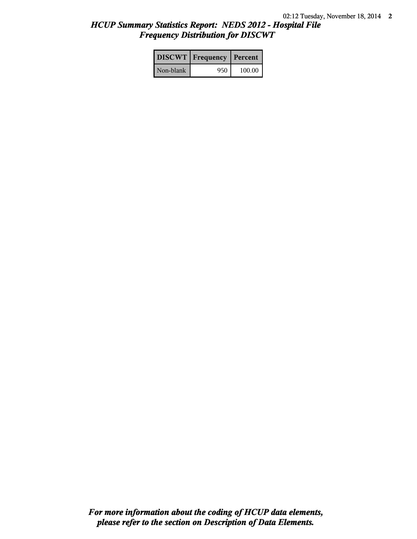# *HCUP Summary Statistics Report: NEDS 2012 - Hospital File Frequency Distribution for DISCWT*

|           | <b>DISCWT</b> Frequency | Percent |
|-----------|-------------------------|---------|
| Non-blank | 950                     | 100.00  |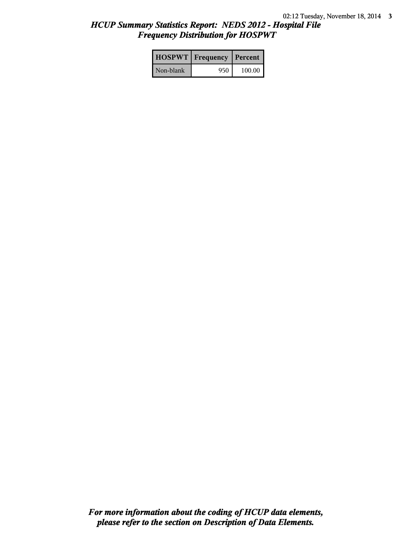# *HCUP Summary Statistics Report: NEDS 2012 - Hospital File Frequency Distribution for HOSPWT*

|           | <b>HOSPWT</b>   Frequency   Percent |        |
|-----------|-------------------------------------|--------|
| Non-blank | 950                                 | 100.00 |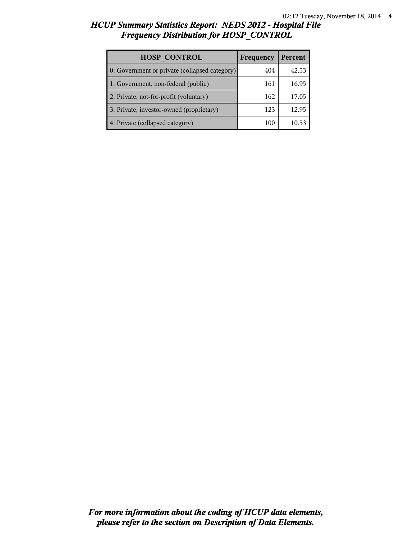# *HCUP Summary Statistics Report: NEDS 2012 - Hospital File Frequency Distribution for HOSP\_CONTROL*

| <b>HOSP CONTROL</b>                           | Frequency | Percent |
|-----------------------------------------------|-----------|---------|
| 0: Government or private (collapsed category) | 404       | 42.53   |
| 1: Government, non-federal (public)           | 161       | 16.95   |
| 2: Private, not-for-profit (voluntary)        | 162       | 17.05   |
| 3: Private, investor-owned (proprietary)      | 123       | 12.95   |
| 4: Private (collapsed category)               | 100       | 10.53   |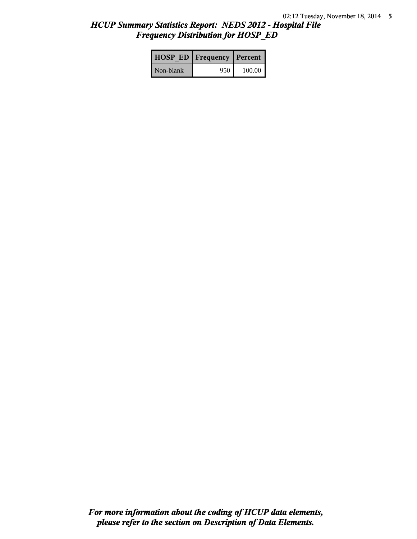# *HCUP Summary Statistics Report: NEDS 2012 - Hospital File Frequency Distribution for HOSP\_ED*

|           | <b>HOSP ED   Frequency   Percent  </b> |          |
|-----------|----------------------------------------|----------|
| Non-blank | 950                                    | $100.00$ |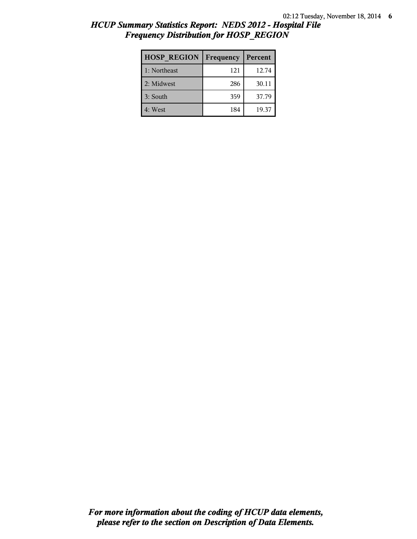# *HCUP Summary Statistics Report: NEDS 2012 - Hospital File Frequency Distribution for HOSP\_REGION*

| <b>HOSP REGION</b> | Frequency | Percent |
|--------------------|-----------|---------|
| 1: Northeast       | 121       | 12.74   |
| 2: Midwest         | 286       | 30.11   |
| 3: South           | 359       | 37.79   |
| 4: West            | 184       | 19.37   |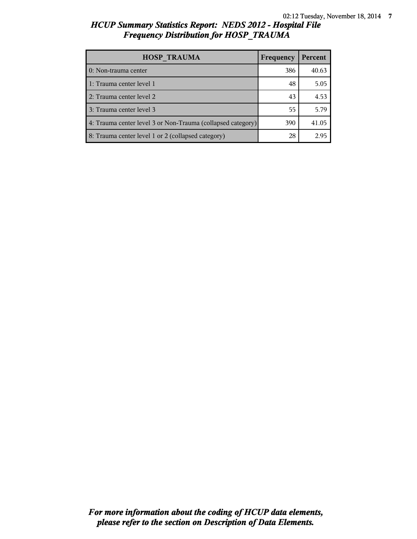# *HCUP Summary Statistics Report: NEDS 2012 - Hospital File Frequency Distribution for HOSP\_TRAUMA*

| <b>HOSP TRAUMA</b>                                          | Frequency | Percent |
|-------------------------------------------------------------|-----------|---------|
| 0: Non-trauma center                                        | 386       | 40.63   |
| 1: Trauma center level 1                                    | 48        | 5.05    |
| 2: Trauma center level 2                                    | 43        | 4.53    |
| 3: Trauma center level 3                                    | 55        | 5.79    |
| 4: Trauma center level 3 or Non-Trauma (collapsed category) | 390       | 41.05   |
| 8: Trauma center level 1 or 2 (collapsed category)          | 28        | 2.95    |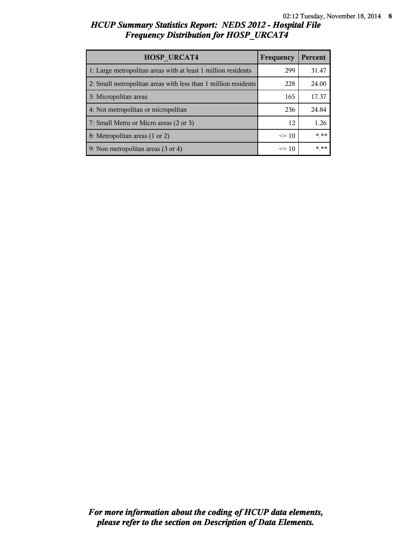# *HCUP Summary Statistics Report: NEDS 2012 - Hospital File Frequency Distribution for HOSP\_URCAT4*

| <b>HOSP URCAT4</b>                                             | Frequency | Percent |
|----------------------------------------------------------------|-----------|---------|
| 1: Large metropolitan areas with at least 1 million residents  | 299       | 31.47   |
| 2: Small metropolitan areas with less than 1 million residents | 228       | 24.00   |
| 3: Micropolitan areas                                          | 165       | 17.37   |
| 4: Not metropolitan or micropolitan                            | 236       | 24.84   |
| 7: Small Metro or Micro areas (2 or 3)                         | 12        | 1.26    |
| 8: Metropolitan areas (1 or 2)                                 | $\leq 10$ | * **    |
| 9: Non metropolitan areas (3 or 4)                             | $\leq$ 10 | * **    |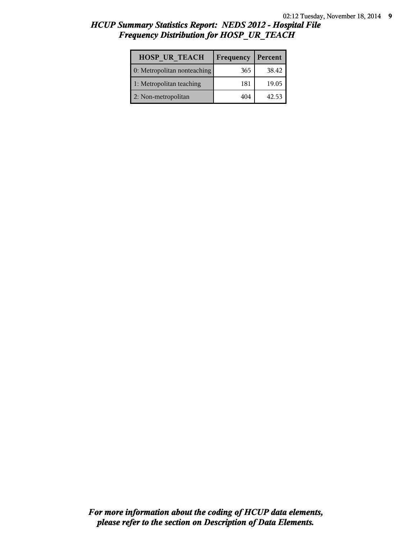## *HCUP Summary Statistics Report: NEDS 2012 - Hospital File Frequency Distribution for HOSP\_UR\_TEACH*

| <b>HOSP UR TEACH</b>        | Frequency | Percent |
|-----------------------------|-----------|---------|
| 0: Metropolitan nonteaching | 365       | 38.42   |
| 1: Metropolitan teaching    | 181       | 19.05   |
| 2: Non-metropolitan         | 404       | 42.53   |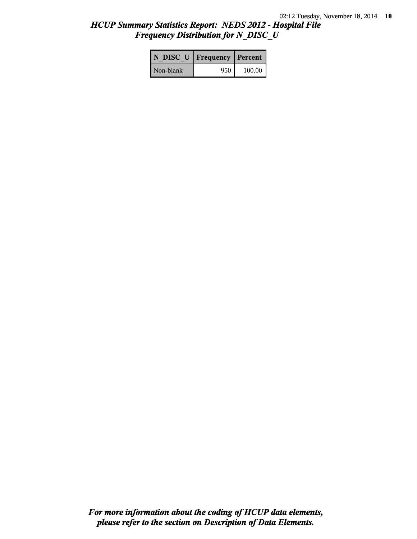## *HCUP Summary Statistics Report: NEDS 2012 - Hospital File Frequency Distribution for N\_DISC\_U*

|           | N DISC U   Frequency   Percent |        |
|-----------|--------------------------------|--------|
| Non-blank | 950                            | 100.00 |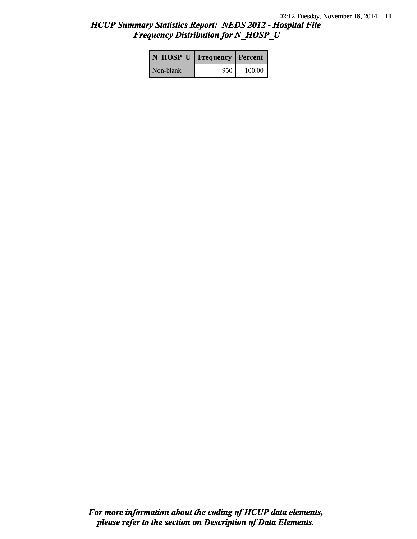## *HCUP Summary Statistics Report: NEDS 2012 - Hospital File Frequency Distribution for N\_HOSP\_U*

| N HOSP U   Frequency   Percent |     |        |
|--------------------------------|-----|--------|
| Non-blank                      | 950 | 100.00 |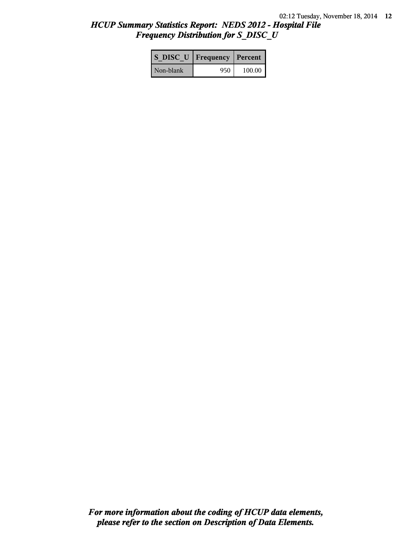## *HCUP Summary Statistics Report: NEDS 2012 - Hospital File Frequency Distribution for S\_DISC\_U*

| S DISC U   Frequency   Percent |      |        |
|--------------------------------|------|--------|
| Non-blank                      | 950- | 100.00 |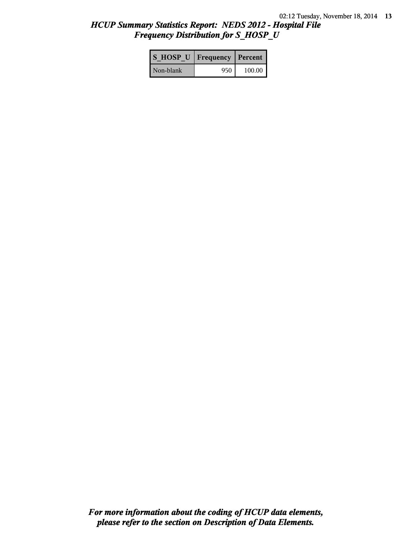## *HCUP Summary Statistics Report: NEDS 2012 - Hospital File Frequency Distribution for S\_HOSP\_U*

| S HOSP U   Frequency   Percent |     |          |
|--------------------------------|-----|----------|
| Non-blank                      | 950 | $100.00$ |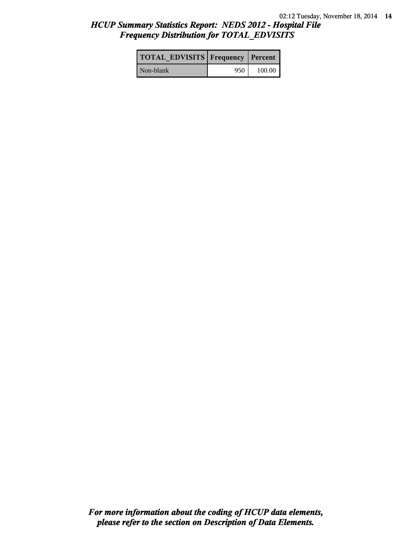## *HCUP Summary Statistics Report: NEDS 2012 - Hospital File Frequency Distribution for TOTAL\_EDVISITS*

| <b>TOTAL EDVISITS Frequency Percent</b> |     |        |
|-----------------------------------------|-----|--------|
| Non-blank                               | 950 | 100.00 |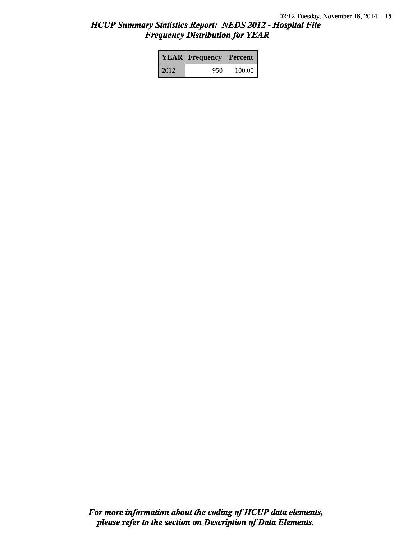# *HCUP Summary Statistics Report: NEDS 2012 - Hospital File Frequency Distribution for YEAR*

|      | <b>YEAR</b> Frequency | Percent |  |
|------|-----------------------|---------|--|
| 2012 | 950                   | 100.00  |  |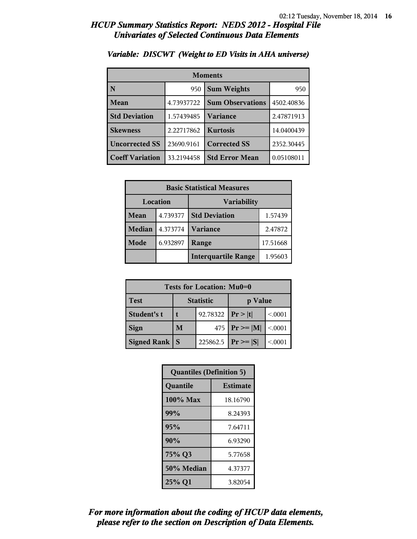| <b>Moments</b>         |            |                         |            |  |
|------------------------|------------|-------------------------|------------|--|
| N                      | 950        | <b>Sum Weights</b>      |            |  |
| Mean                   | 4.73937722 | <b>Sum Observations</b> | 4502.40836 |  |
| <b>Std Deviation</b>   | 1.57439485 | Variance                | 2.47871913 |  |
| <b>Skewness</b>        | 2.22717862 | <b>Kurtosis</b>         | 14.0400439 |  |
| <b>Uncorrected SS</b>  | 23690.9161 | <b>Corrected SS</b>     | 2352.30445 |  |
| <b>Coeff Variation</b> | 33.2194458 | <b>Std Error Mean</b>   | 0.05108011 |  |

#### *Variable: DISCWT (Weight to ED Visits in AHA universe)*

| <b>Basic Statistical Measures</b> |          |                            |          |
|-----------------------------------|----------|----------------------------|----------|
| Location<br><b>Variability</b>    |          |                            |          |
| Mean                              | 4.739377 | <b>Std Deviation</b>       | 1.57439  |
| <b>Median</b>                     | 4.373774 | <b>Variance</b>            | 2.47872  |
| Mode                              | 6.932897 | Range                      | 17.51668 |
|                                   |          | <b>Interquartile Range</b> | 1.95603  |

| Tests for Location: Mu0=0 |                             |          |                    |         |  |  |
|---------------------------|-----------------------------|----------|--------------------|---------|--|--|
| <b>Test</b>               | <b>Statistic</b><br>p Value |          |                    |         |  |  |
| Student's t               | 92.78322                    |          | Pr> t              | < 0.001 |  |  |
| <b>Sign</b>               | M                           |          | 475   $Pr \ge  M $ | < 0001  |  |  |
| Signed Rank               | <b>S</b>                    | 225862.5 | $ Pr \geq  S $     | < 0001  |  |  |

| <b>Quantiles (Definition 5)</b> |                 |  |
|---------------------------------|-----------------|--|
| Quantile                        | <b>Estimate</b> |  |
| 100% Max                        | 18.16790        |  |
| 99%                             | 8.24393         |  |
| 95%                             | 7.64711         |  |
| 90%                             | 6.93290         |  |
| 75% Q3                          | 5.77658         |  |
| 50% Median                      | 4.37377         |  |
| 25% Q1                          | 3.82054         |  |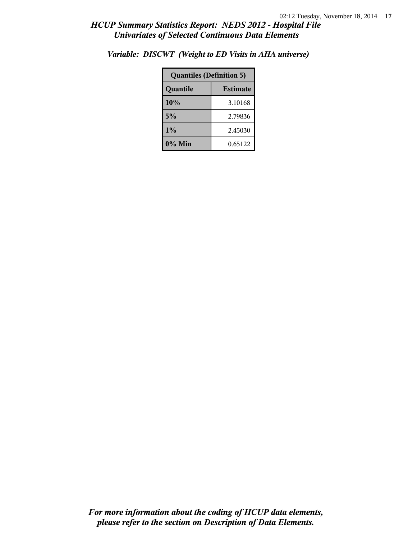| <b>Quantiles (Definition 5)</b> |         |  |
|---------------------------------|---------|--|
| <b>Estimate</b><br>Quantile     |         |  |
| 10%                             | 3.10168 |  |
| 5%                              | 2.79836 |  |
| 1%                              | 2.45030 |  |
| $0\%$ Min                       | 0.65122 |  |

*Variable: DISCWT (Weight to ED Visits in AHA universe)*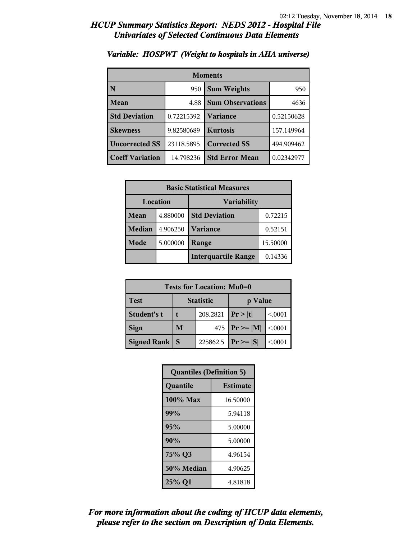| <b>Moments</b>         |            |                         |            |
|------------------------|------------|-------------------------|------------|
| N                      | 950        | <b>Sum Weights</b>      | 950        |
| Mean                   | 4.88       | <b>Sum Observations</b> | 4636       |
| <b>Std Deviation</b>   | 0.72215392 | Variance                | 0.52150628 |
| <b>Skewness</b>        | 9.82580689 | <b>Kurtosis</b>         | 157.149964 |
| <b>Uncorrected SS</b>  | 23118.5895 | <b>Corrected SS</b>     | 494.909462 |
| <b>Coeff Variation</b> | 14.798236  | <b>Std Error Mean</b>   | 0.02342977 |

### *Variable: HOSPWT (Weight to hospitals in AHA universe)*

| <b>Basic Statistical Measures</b> |          |                            |         |
|-----------------------------------|----------|----------------------------|---------|
| Location<br><b>Variability</b>    |          |                            |         |
| Mean                              | 4.880000 | <b>Std Deviation</b>       | 0.72215 |
| <b>Median</b>                     | 4.906250 | <b>Variance</b>            | 0.52151 |
| Mode                              | 5.000000 | 15.50000<br>Range          |         |
|                                   |          | <b>Interquartile Range</b> | 0.14336 |

| Tests for Location: Mu0=0 |                             |          |                    |         |
|---------------------------|-----------------------------|----------|--------------------|---------|
| Test                      | <b>Statistic</b><br>p Value |          |                    |         |
| Student's t               | 208.2821                    |          | Pr >  t            | < 0001  |
| <b>Sign</b>               | M                           |          | 475   $Pr \ge  M $ | < 0.001 |
| <b>Signed Rank</b>        | <b>S</b>                    | 225862.5 | $ Pr \ge  S $      | < 0001  |

| <b>Quantiles (Definition 5)</b> |                 |  |
|---------------------------------|-----------------|--|
| Quantile                        | <b>Estimate</b> |  |
| 100% Max                        | 16.50000        |  |
| 99%                             | 5.94118         |  |
| 95%                             | 5.00000         |  |
| 90%                             | 5.00000         |  |
| 75% Q3                          | 4.96154         |  |
| 50% Median                      | 4.90625         |  |
| 25% Q1                          | 4.81818         |  |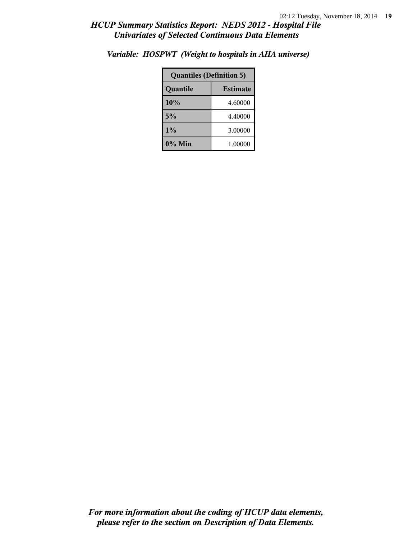| <b>Quantiles (Definition 5)</b> |         |  |
|---------------------------------|---------|--|
| Quantile<br><b>Estimate</b>     |         |  |
| 10%<br>4.60000                  |         |  |
| 5%<br>4.40000                   |         |  |
| 1%                              | 3.00000 |  |
| 0% Min                          | 1.00000 |  |

*Variable: HOSPWT (Weight to hospitals in AHA universe)*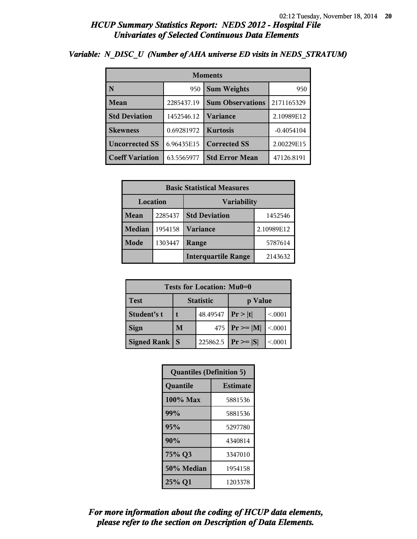| <b>Moments</b>         |            |                         |              |  |
|------------------------|------------|-------------------------|--------------|--|
| N                      | 950        | <b>Sum Weights</b>      | 950          |  |
| Mean                   | 2285437.19 | <b>Sum Observations</b> | 2171165329   |  |
| <b>Std Deviation</b>   | 1452546.12 | <b>Variance</b>         | 2.10989E12   |  |
| <b>Skewness</b>        | 0.69281972 | <b>Kurtosis</b>         | $-0.4054104$ |  |
| <b>Uncorrected SS</b>  | 6.96435E15 | <b>Corrected SS</b>     | 2.00229E15   |  |
| <b>Coeff Variation</b> | 63.5565977 | <b>Std Error Mean</b>   | 47126.8191   |  |

#### *Variable: N\_DISC\_U (Number of AHA universe ED visits in NEDS\_STRATUM)*

| <b>Basic Statistical Measures</b> |         |                                 |            |  |
|-----------------------------------|---------|---------------------------------|------------|--|
| Location<br>Variability           |         |                                 |            |  |
| Mean                              | 2285437 | <b>Std Deviation</b><br>1452546 |            |  |
| <b>Median</b>                     | 1954158 | <b>Variance</b>                 | 2.10989E12 |  |
| <b>Mode</b>                       | 1303447 | Range                           | 5787614    |  |
|                                   |         | <b>Interquartile Range</b>      | 2143632    |  |

| Tests for Location: Mu0=0 |                                         |          |                 |         |  |
|---------------------------|-----------------------------------------|----------|-----------------|---------|--|
| <b>Test</b>               | <b>Statistic</b><br>p Value             |          |                 |         |  |
| Student's t               |                                         | 48.49547 | Pr >  t         | < 0001  |  |
| <b>Sign</b>               | M<br>475                                |          | $ Pr \ge =  M $ | < 0.001 |  |
| <b>Signed Rank</b>        | 225862.5<br>$ Pr \ge =  S $<br><b>S</b> |          |                 |         |  |

| <b>Quantiles (Definition 5)</b> |                 |  |
|---------------------------------|-----------------|--|
| Quantile                        | <b>Estimate</b> |  |
| 100% Max                        | 5881536         |  |
| 99%                             | 5881536         |  |
| 95%                             | 5297780         |  |
| 90%                             | 4340814         |  |
| 75% Q3                          | 3347010         |  |
| 50% Median                      | 1954158         |  |
| 25% Q1                          | 1203378         |  |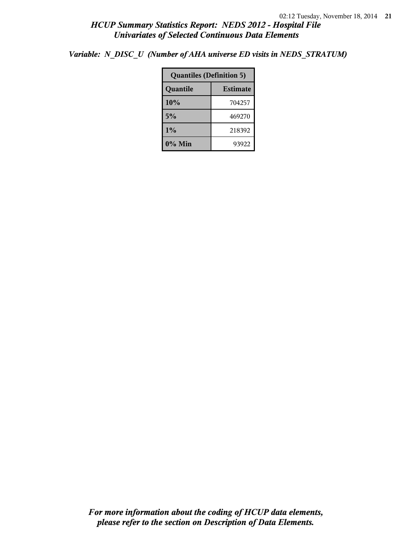*Variable: N\_DISC\_U (Number of AHA universe ED visits in NEDS\_STRATUM)*

| <b>Quantiles (Definition 5)</b> |        |  |
|---------------------------------|--------|--|
| Quantile<br><b>Estimate</b>     |        |  |
| 10%                             | 704257 |  |
| 5%                              | 469270 |  |
| $1\%$                           | 218392 |  |
| $0\%$ Min<br>93922              |        |  |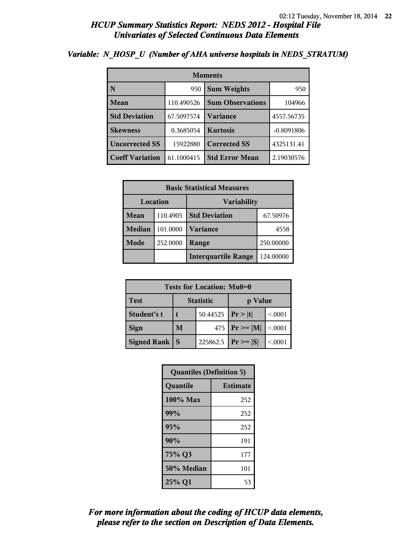| <b>Moments</b>         |            |                         |              |  |
|------------------------|------------|-------------------------|--------------|--|
| N                      | 950        | <b>Sum Weights</b>      | 950          |  |
| Mean                   | 110.490526 | <b>Sum Observations</b> | 104966       |  |
| <b>Std Deviation</b>   | 67.5097574 | Variance                | 4557.56735   |  |
| <b>Skewness</b>        | 0.3685054  | <b>Kurtosis</b>         | $-0.8091806$ |  |
| <b>Uncorrected SS</b>  | 15922880   | <b>Corrected SS</b>     | 4325131.41   |  |
| <b>Coeff Variation</b> | 61.1000415 | <b>Std Error Mean</b>   | 2.19030576   |  |

#### *Variable: N\_HOSP\_U (Number of AHA universe hospitals in NEDS\_STRATUM)*

| <b>Basic Statistical Measures</b>     |          |                            |           |  |
|---------------------------------------|----------|----------------------------|-----------|--|
| <b>Location</b><br><b>Variability</b> |          |                            |           |  |
| Mean                                  | 110.4905 | <b>Std Deviation</b>       | 67.50976  |  |
| <b>Median</b>                         | 101.0000 | <b>Variance</b>            | 4558      |  |
| Mode                                  | 252.0000 | Range                      | 250.00000 |  |
|                                       |          | <b>Interquartile Range</b> | 124.00000 |  |

| Tests for Location: Mu0=0 |                             |               |                    |         |  |
|---------------------------|-----------------------------|---------------|--------------------|---------|--|
| <b>Test</b>               | <b>Statistic</b><br>p Value |               |                    |         |  |
| Student's t               | 50.44525                    |               | Pr >  t            | < 0001  |  |
| <b>Sign</b>               | M                           |               | 475   $Pr \ge  M $ | < 0.001 |  |
| <b>Signed Rank</b>        | S                           | $ Pr \ge  S $ | < 0001             |         |  |

| <b>Quantiles (Definition 5)</b> |                 |  |
|---------------------------------|-----------------|--|
| Quantile                        | <b>Estimate</b> |  |
| 100% Max                        | 252             |  |
| 99%                             | 252             |  |
| 95%                             | 252             |  |
| 90%                             | 191             |  |
| 75% Q3                          | 177             |  |
| 50% Median                      | 101             |  |
| 25% Q1                          | 53              |  |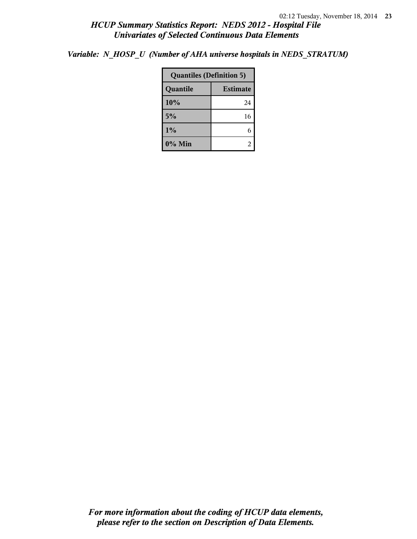*Variable: N\_HOSP\_U (Number of AHA universe hospitals in NEDS\_STRATUM)*

| <b>Quantiles (Definition 5)</b> |    |  |
|---------------------------------|----|--|
| <b>Estimate</b><br>Quantile     |    |  |
| 10%                             | 24 |  |
| 5%                              | 16 |  |
| $1\%$                           |    |  |
| 0% Min                          |    |  |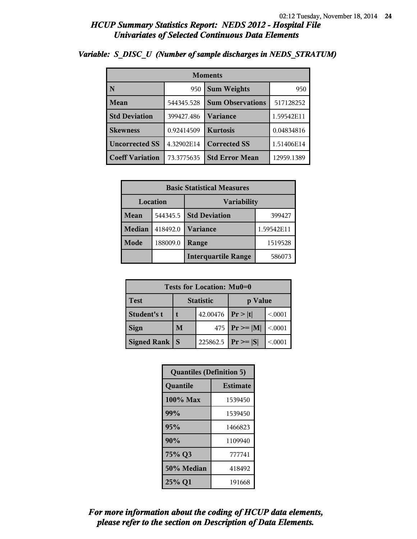| <b>Moments</b>         |            |                         |            |  |
|------------------------|------------|-------------------------|------------|--|
| N                      | 950        | <b>Sum Weights</b>      | 950        |  |
| Mean                   | 544345.528 | <b>Sum Observations</b> | 517128252  |  |
| <b>Std Deviation</b>   | 399427.486 | Variance                | 1.59542E11 |  |
| <b>Skewness</b>        | 0.92414509 | <b>Kurtosis</b>         | 0.04834816 |  |
| <b>Uncorrected SS</b>  | 4.32902E14 | <b>Corrected SS</b>     | 1.51406E14 |  |
| <b>Coeff Variation</b> | 73.3775635 | <b>Std Error Mean</b>   | 12959.1389 |  |

### *Variable: S\_DISC\_U (Number of sample discharges in NEDS\_STRATUM)*

| <b>Basic Statistical Measures</b> |          |                            |            |  |
|-----------------------------------|----------|----------------------------|------------|--|
|                                   | Location | <b>Variability</b>         |            |  |
| <b>Mean</b>                       | 544345.5 | <b>Std Deviation</b>       | 399427     |  |
| <b>Median</b>                     | 418492.0 | <b>Variance</b>            | 1.59542E11 |  |
| Mode                              | 188009.0 | Range                      | 1519528    |  |
|                                   |          | <b>Interquartile Range</b> | 586073     |  |

| Tests for Location: Mu0=0 |                             |          |                    |         |  |
|---------------------------|-----------------------------|----------|--------------------|---------|--|
| <b>Test</b>               | <b>Statistic</b><br>p Value |          |                    |         |  |
| Student's t               | 42.00476                    |          | Pr >  t            | < 0.001 |  |
| <b>Sign</b>               | M                           |          | 475   $Pr \ge  M $ | < 0.001 |  |
| <b>Signed Rank</b>        | <sub>S</sub>                | 225862.5 | $ Pr\rangle =  S $ | < 0001  |  |

| <b>Quantiles (Definition 5)</b> |                 |  |
|---------------------------------|-----------------|--|
| Quantile                        | <b>Estimate</b> |  |
| 100% Max                        | 1539450         |  |
| 99%                             | 1539450         |  |
| 95%                             | 1466823         |  |
| 90%                             | 1109940         |  |
| 75% Q3                          | 777741          |  |
| 50% Median                      | 418492          |  |
| 25% Q1                          | 191668          |  |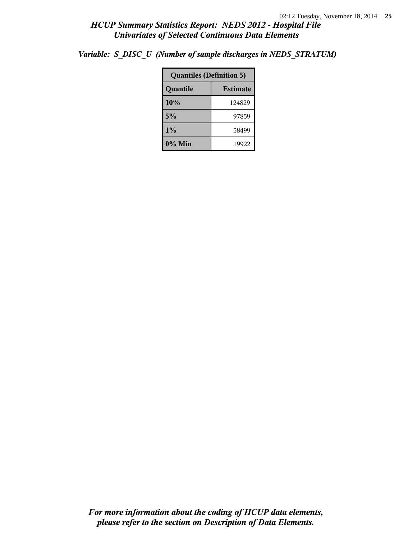|  |  | Variable: S_DISC_U (Number of sample discharges in NEDS_STRATUM) |  |
|--|--|------------------------------------------------------------------|--|
|--|--|------------------------------------------------------------------|--|

| <b>Quantiles (Definition 5)</b> |                 |  |
|---------------------------------|-----------------|--|
| Quantile                        | <b>Estimate</b> |  |
| 10%                             | 124829          |  |
| 5%                              | 97859           |  |
| 1%                              | 58499           |  |
| $0\%$ Min                       | 19922           |  |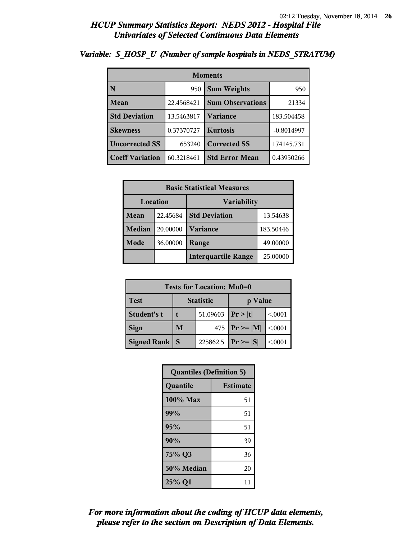| <b>Moments</b>         |            |                         |              |  |
|------------------------|------------|-------------------------|--------------|--|
| l N                    | 950        | <b>Sum Weights</b>      | 950          |  |
| Mean                   | 22.4568421 | <b>Sum Observations</b> | 21334        |  |
| <b>Std Deviation</b>   | 13.5463817 | Variance                | 183.504458   |  |
| <b>Skewness</b>        | 0.37370727 | <b>Kurtosis</b>         | $-0.8014997$ |  |
| <b>Uncorrected SS</b>  | 653240     | <b>Corrected SS</b>     | 174145.731   |  |
| <b>Coeff Variation</b> | 60.3218461 | <b>Std Error Mean</b>   | 0.43950266   |  |

### *Variable: S\_HOSP\_U (Number of sample hospitals in NEDS\_STRATUM)*

| <b>Basic Statistical Measures</b> |          |                            |           |  |
|-----------------------------------|----------|----------------------------|-----------|--|
|                                   | Location | <b>Variability</b>         |           |  |
| Mean                              | 22.45684 | <b>Std Deviation</b>       | 13.54638  |  |
| <b>Median</b>                     | 20.00000 | <b>Variance</b>            | 183.50446 |  |
| Mode                              | 36.00000 | Range                      | 49.00000  |  |
|                                   |          | <b>Interquartile Range</b> | 25.00000  |  |

| Tests for Location: Mu0=0 |                             |          |                    |         |  |
|---------------------------|-----------------------------|----------|--------------------|---------|--|
| <b>Test</b>               | <b>Statistic</b><br>p Value |          |                    |         |  |
| Student's t               | 51.09603                    |          | Pr >  t            | < 0001  |  |
| <b>Sign</b>               | M                           |          | 475   $Pr \ge  M $ | < 0.001 |  |
| <b>Signed Rank</b>        | S                           | 225862.5 | $ Pr \ge  S $      | < 0001  |  |

| <b>Quantiles (Definition 5)</b> |                 |  |
|---------------------------------|-----------------|--|
| Quantile                        | <b>Estimate</b> |  |
| 100% Max                        | 51              |  |
| 99%                             | 51              |  |
| 95%                             | 51              |  |
| 90%                             | 39              |  |
| 75% Q3                          | 36              |  |
| 50% Median                      | 20              |  |
| 25% Q1                          | 11              |  |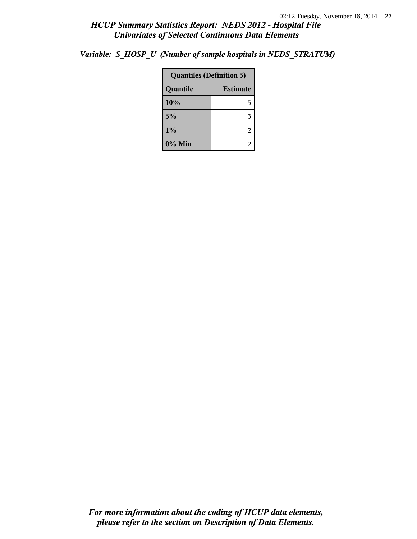*Variable: S\_HOSP\_U (Number of sample hospitals in NEDS\_STRATUM)*

| <b>Quantiles (Definition 5)</b> |                 |  |
|---------------------------------|-----------------|--|
| Quantile                        | <b>Estimate</b> |  |
| 10%                             | 5               |  |
| 5%                              |                 |  |
| 1%                              | 2               |  |
| 0% Min                          |                 |  |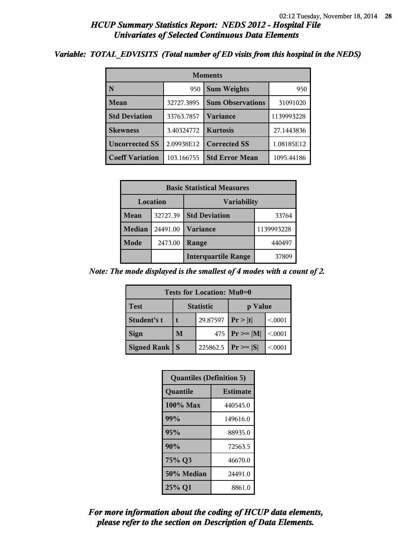#### *Variable: TOTAL\_EDVISITS (Total number of ED visits from this hospital in the NEDS)*

| <b>Moments</b>         |            |                         |            |  |
|------------------------|------------|-------------------------|------------|--|
| N                      | 950        | <b>Sum Weights</b>      | 950        |  |
| Mean                   | 32727.3895 | <b>Sum Observations</b> | 31091020   |  |
| <b>Std Deviation</b>   | 33763.7857 | <b>Variance</b>         | 1139993228 |  |
| <b>Skewness</b>        | 3.40324772 | <b>Kurtosis</b>         | 27.1443836 |  |
| <b>Uncorrected SS</b>  | 2.09938E12 | <b>Corrected SS</b>     | 1.08185E12 |  |
| <b>Coeff Variation</b> | 103.166755 | <b>Std Error Mean</b>   | 1095.44186 |  |

| <b>Basic Statistical Measures</b> |          |                            |            |
|-----------------------------------|----------|----------------------------|------------|
| Location                          |          | Variability                |            |
| Mean                              | 32727.39 | <b>Std Deviation</b>       | 33764      |
| <b>Median</b>                     | 24491.00 | <b>Variance</b>            | 1139993228 |
| Mode                              | 2473.00  | Range                      | 440497     |
|                                   |          | <b>Interquartile Range</b> | 37809      |

*Note: The mode displayed is the smallest of 4 modes with a count of 2.*

| <b>Tests for Location: Mu0=0</b> |                  |          |                               |        |  |
|----------------------------------|------------------|----------|-------------------------------|--------|--|
| <b>Test</b>                      | <b>Statistic</b> |          | p Value                       |        |  |
| Student's t                      |                  | 29.87597 | Pr >  t                       | < 0001 |  |
| <b>Sign</b>                      | M                | 475      | $\mathbf{Pr} \geq \mathbf{M}$ | < 0001 |  |
| <b>Signed Rank</b>               | S                | 225862.5 | $ Pr \ge  S $                 | < 0001 |  |

| <b>Quantiles (Definition 5)</b> |                 |  |
|---------------------------------|-----------------|--|
| Quantile                        | <b>Estimate</b> |  |
| 100% Max                        | 440545.0        |  |
| 99%                             | 149616.0        |  |
| 95%                             | 88935.0         |  |
| 90%                             | 72563.5         |  |
| 75% Q3                          | 46670.0         |  |
| 50% Median                      | 24491.0         |  |
| 25% Q1                          | 8861.0          |  |